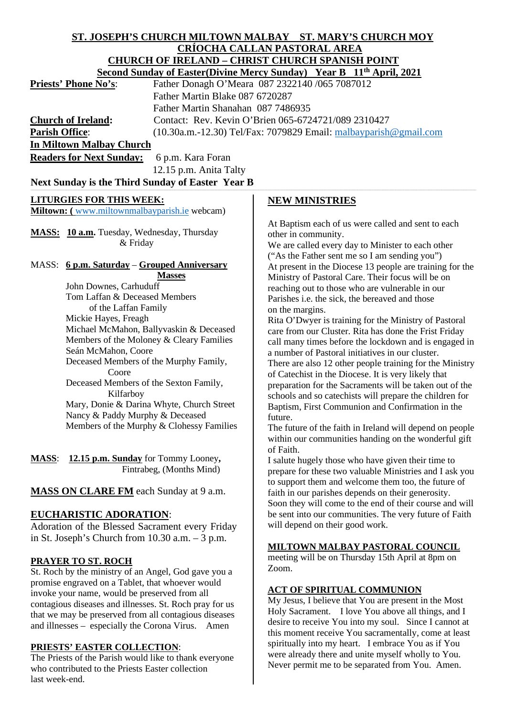# **ST. JOSEPH'S CHURCH MILTOWN MALBAY ST. MARY'S CHURCH MOY CRÍOCHA CALLAN PASTORAL AREA CHURCH OF IRELAND – CHRIST CHURCH SPANISH POINT**

| Second Sunday of Easter(Divine Mercy Sunday) Year B 11 <sup>th</sup> April, 2021 |                                                                     |
|----------------------------------------------------------------------------------|---------------------------------------------------------------------|
| <b>Priests' Phone No's:</b>                                                      | Father Donagh O'Meara 087 2322140 /065 7087012                      |
|                                                                                  | Father Martin Blake 087 6720287                                     |
|                                                                                  | Father Martin Shanahan 087 7486935                                  |
| <b>Church of Ireland:</b>                                                        | Contact: Rev. Kevin O'Brien 065-6724721/089 2310427                 |
| <b>Parish Office:</b>                                                            | $(10.30a.m.-12.30)$ Tel/Fax: 7079829 Email: malbayparish @gmail.com |
| In Miltown Malbay Church                                                         |                                                                     |
| <b>Readers for Next Sunday:</b>                                                  | 6 p.m. Kara Foran                                                   |
|                                                                                  | 12.15 p.m. Anita Talty                                              |
| Next Sunday is the Third Sunday of Easter Year B                                 |                                                                     |
| <b>LITURGIES FOR THIS WEEK:</b>                                                  | <b>NEW MINISTRIES</b>                                               |
| <b>Miltown:</b> (www.miltownmalbayparish.ie webcam)                              |                                                                     |

**MASS: 10 a.m.** Tuesday, Wednesday, Thursday & Friday

### MASS: **6 p.m. Saturday** – **Grouped Anniversary Masses**

 John Downes, Carhuduff Tom Laffan & Deceased Members of the Laffan Family Mickie Hayes, Freagh Michael McMahon, Ballyvaskin & Deceased Members of the Moloney & Cleary Families Seán McMahon, Coore Deceased Members of the Murphy Family, Coore Deceased Members of the Sexton Family, Kilfarboy Mary, Donie & Darina Whyte, Church Street Nancy & Paddy Murphy & Deceased Members of the Murphy & Clohessy Families

**MASS**: **12.15 p.m. Sunday** for Tommy Looney**,** Fintrabeg, (Months Mind)

**MASS ON CLARE FM** each Sunday at 9 a.m.

# **EUCHARISTIC ADORATION**:

Adoration of the Blessed Sacrament every Friday in St. Joseph's Church from  $10.30$  a.m.  $-3$  p.m.

# **PRAYER TO ST. ROCH**

St. Roch by the ministry of an Angel, God gave you a promise engraved on a Tablet, that whoever would invoke your name, would be preserved from all contagious diseases and illnesses. St. Roch pray for us that we may be preserved from all contagious diseases and illnesses – especially the Corona Virus. Amen

### **PRIESTS' EASTER COLLECTION**:

The Priests of the Parish would like to thank everyone who contributed to the Priests Easter collection last week-end.

At Baptism each of us were called and sent to each other in community.

We are called every day to Minister to each other ("As the Father sent me so I am sending you") At present in the Diocese 13 people are training for the Ministry of Pastoral Care. Their focus will be on reaching out to those who are vulnerable in our Parishes i.e. the sick, the bereaved and those on the margins.

Rita O'Dwyer is training for the Ministry of Pastoral care from our Cluster. Rita has done the Frist Friday call many times before the lockdown and is engaged in a number of Pastoral initiatives in our cluster.

There are also 12 other people training for the Ministry of Catechist in the Diocese. It is very likely that preparation for the Sacraments will be taken out of the schools and so catechists will prepare the children for Baptism, First Communion and Confirmation in the future.

The future of the faith in Ireland will depend on people within our communities handing on the wonderful gift of Faith.

I salute hugely those who have given their time to prepare for these two valuable Ministries and I ask you to support them and welcome them too, the future of faith in our parishes depends on their generosity. Soon they will come to the end of their course and will be sent into our communities. The very future of Faith will depend on their good work.

# **MILTOWN MALBAY PASTORAL COUNCIL**

meeting will be on Thursday 15th April at 8pm on Zoom.

# **ACT OF SPIRITUAL COMMUNION**

My Jesus, I believe that You are present in the Most Holy Sacrament. I love You above all things, and I desire to receive You into my soul. Since I cannot at this moment receive You sacramentally, come at least spiritually into my heart. I embrace You as if You were already there and unite myself wholly to You. Never permit me to be separated from You. Amen.